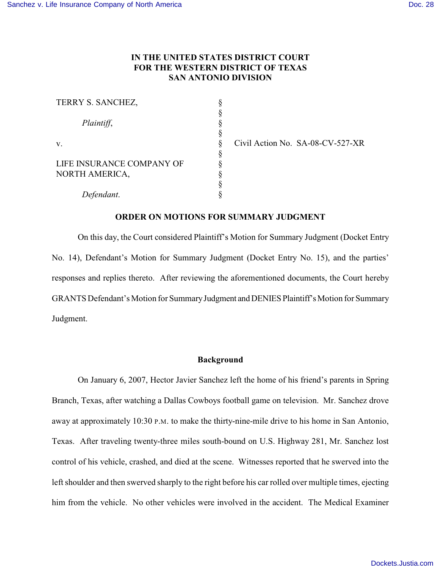# **IN THE UNITED STATES DISTRICT COURT FOR THE WESTERN DISTRICT OF TEXAS SAN ANTONIO DIVISION**

| TERRY S. SANCHEZ,         |  |
|---------------------------|--|
|                           |  |
| Plaintiff,                |  |
|                           |  |
| V.                        |  |
|                           |  |
| LIFE INSURANCE COMPANY OF |  |
| NORTH AMERICA,            |  |
|                           |  |
| Defendant.                |  |

Civil Action No. SA-08-CV-527-XR

### **ORDER ON MOTIONS FOR SUMMARY JUDGMENT**

On this day, the Court considered Plaintiff's Motion for Summary Judgment (Docket Entry No. 14), Defendant's Motion for Summary Judgment (Docket Entry No. 15), and the parties' responses and replies thereto. After reviewing the aforementioned documents, the Court hereby GRANTS Defendant's Motion for Summary Judgment and DENIES Plaintiff's Motion for Summary Judgment.

#### **Background**

On January 6, 2007, Hector Javier Sanchez left the home of his friend's parents in Spring Branch, Texas, after watching a Dallas Cowboys football game on television. Mr. Sanchez drove away at approximately 10:30 P.M. to make the thirty-nine-mile drive to his home in San Antonio, Texas. After traveling twenty-three miles south-bound on U.S. Highway 281, Mr. Sanchez lost control of his vehicle, crashed, and died at the scene. Witnesses reported that he swerved into the left shoulder and then swerved sharply to the right before his car rolled over multiple times, ejecting him from the vehicle. No other vehicles were involved in the accident. The Medical Examiner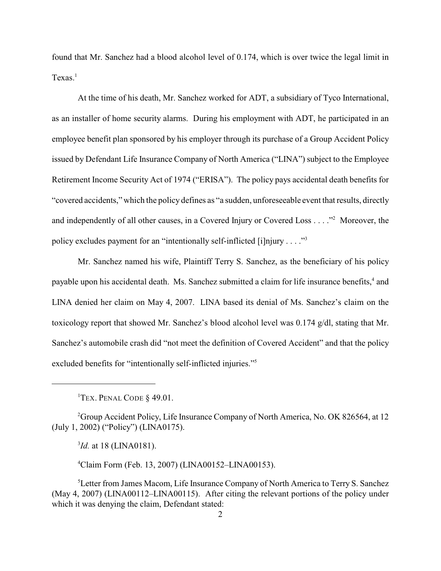found that Mr. Sanchez had a blood alcohol level of 0.174, which is over twice the legal limit in Texas.<sup>1</sup>

At the time of his death, Mr. Sanchez worked for ADT, a subsidiary of Tyco International, as an installer of home security alarms. During his employment with ADT, he participated in an employee benefit plan sponsored by his employer through its purchase of a Group Accident Policy issued by Defendant Life Insurance Company of North America ("LINA") subject to the Employee Retirement Income Security Act of 1974 ("ERISA"). The policy pays accidental death benefits for "covered accidents," which the policy defines as "a sudden, unforeseeable event that results, directly and independently of all other causes, in a Covered Injury or Covered Loss  $\dots$ ." Moreover, the policy excludes payment for an "intentionally self-inflicted [i]njury . . . ."<sup>3</sup>

Mr. Sanchez named his wife, Plaintiff Terry S. Sanchez, as the beneficiary of his policy payable upon his accidental death. Ms. Sanchez submitted a claim for life insurance benefits,<sup>4</sup> and LINA denied her claim on May 4, 2007. LINA based its denial of Ms. Sanchez's claim on the toxicology report that showed Mr. Sanchez's blood alcohol level was 0.174 g/dl, stating that Mr. Sanchez's automobile crash did "not meet the definition of Covered Accident" and that the policy excluded benefits for "intentionally self-inflicted injuries."5

<sup>1</sup>TEX. PENAL CODE  $§$  49.01.

 $^{2}$ Group Accident Policy, Life Insurance Company of North America, No. OK 826564, at 12 (July 1, 2002) ("Policy") (LINA0175).

 $^{3}$ *Id.* at 18 (LINA0181).

Claim Form (Feb. 13, 2007) (LINA00152–LINA00153). <sup>4</sup>

<sup>5</sup>Letter from James Macom, Life Insurance Company of North America to Terry S. Sanchez (May 4, 2007) (LINA00112–LINA00115). After citing the relevant portions of the policy under which it was denying the claim, Defendant stated: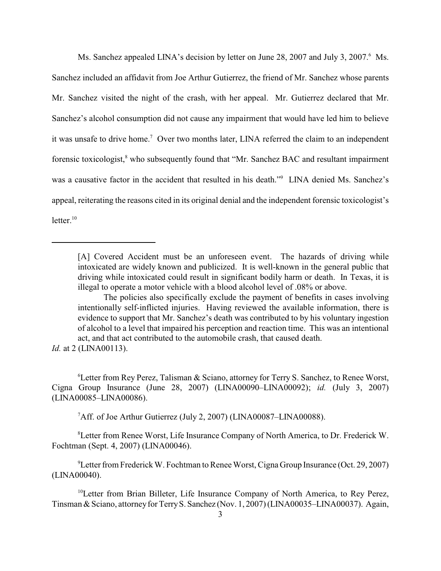Ms. Sanchez appealed LINA's decision by letter on June 28, 2007 and July 3, 2007.<sup>6</sup> Ms. Sanchez included an affidavit from Joe Arthur Gutierrez, the friend of Mr. Sanchez whose parents Mr. Sanchez visited the night of the crash, with her appeal. Mr. Gutierrez declared that Mr. Sanchez's alcohol consumption did not cause any impairment that would have led him to believe it was unsafe to drive home.<sup>7</sup> Over two months later, LINA referred the claim to an independent forensic toxicologist,<sup>8</sup> who subsequently found that "Mr. Sanchez BAC and resultant impairment was a causative factor in the accident that resulted in his death."<sup>9</sup> LINA denied Ms. Sanchez's appeal, reiterating the reasons cited in its original denial and the independent forensic toxicologist's  $letter<sup>10</sup>$ 

*Id.* at 2 (LINA00113).

<sup>6</sup> Letter from Rey Perez, Talisman & Sciano, attorney for Terry S. Sanchez, to Renee Worst, Cigna Group Insurance (June 28, 2007) (LINA00090–LINA00092); *id.* (July 3, 2007) (LINA00085–LINA00086).

<sup>7</sup>Aff. of Joe Arthur Gutierrez (July 2, 2007) (LINA00087–LINA00088).

<sup>8</sup> Letter from Renee Worst, Life Insurance Company of North America, to Dr. Frederick W. Fochtman (Sept. 4, 2007) (LINA00046).

<sup>9</sup> Letter from Frederick W. Fochtman to Renee Worst, Cigna Group Insurance (Oct. 29, 2007) (LINA00040).

 $10$ Letter from Brian Billeter, Life Insurance Company of North America, to Rey Perez, Tinsman & Sciano, attorney for Terry S. Sanchez (Nov. 1, 2007) (LINA00035–LINA00037). Again,

<sup>[</sup>A] Covered Accident must be an unforeseen event. The hazards of driving while intoxicated are widely known and publicized. It is well-known in the general public that driving while intoxicated could result in significant bodily harm or death. In Texas, it is illegal to operate a motor vehicle with a blood alcohol level of .08% or above.

The policies also specifically exclude the payment of benefits in cases involving intentionally self-inflicted injuries. Having reviewed the available information, there is evidence to support that Mr. Sanchez's death was contributed to by his voluntary ingestion of alcohol to a level that impaired his perception and reaction time. This was an intentional act, and that act contributed to the automobile crash, that caused death.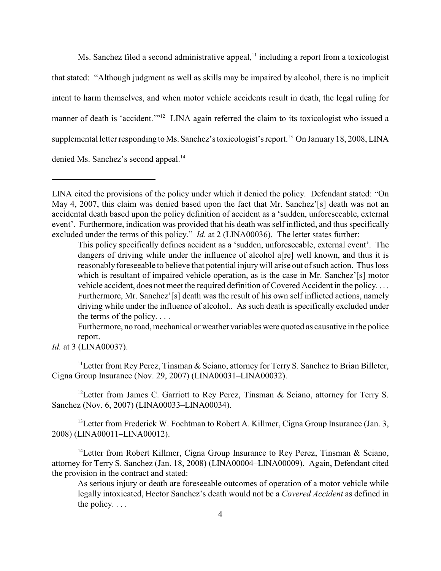Ms. Sanchez filed a second administrative appeal, $<sup>11</sup>$  including a report from a toxicologist</sup> that stated: "Although judgment as well as skills may be impaired by alcohol, there is no implicit intent to harm themselves, and when motor vehicle accidents result in death, the legal ruling for manner of death is 'accident.'"<sup>12</sup> LINA again referred the claim to its toxicologist who issued a supplemental letter responding to Ms. Sanchez's toxicologist's report.<sup>13</sup> On January 18, 2008, LINA denied Ms. Sanchez's second appeal.<sup>14</sup>

This policy specifically defines accident as a 'sudden, unforeseeable, external event'. The dangers of driving while under the influence of alcohol a[re] well known, and thus it is reasonably foreseeable to believe that potential injury will arise out of such action. Thus loss which is resultant of impaired vehicle operation, as is the case in Mr. Sanchez'[s] motor vehicle accident, does not meet the required definition of Covered Accident in the policy. . . . Furthermore, Mr. Sanchez'[s] death was the result of his own self inflicted actions, namely driving while under the influence of alcohol.. As such death is specifically excluded under the terms of the policy. . . .

Furthermore, no road, mechanical or weather variables were quoted as causative in the police report.

*Id.* at 3 (LINA00037).

<sup>11</sup> Letter from Rey Perez, Tinsman & Sciano, attorney for Terry S. Sanchez to Brian Billeter, Cigna Group Insurance (Nov. 29, 2007) (LINA00031–LINA00032).

<sup>12</sup> Letter from James C. Garriott to Rey Perez, Tinsman & Sciano, attorney for Terry S. Sanchez (Nov. 6, 2007) (LINA00033–LINA00034).

<sup>13</sup> Letter from Frederick W. Fochtman to Robert A. Killmer, Cigna Group Insurance (Jan. 3, 2008) (LINA00011–LINA00012).

<sup>14</sup> Letter from Robert Killmer, Cigna Group Insurance to Rey Perez, Tinsman & Sciano, attorney for Terry S. Sanchez (Jan. 18, 2008) (LINA00004–LINA00009). Again, Defendant cited the provision in the contract and stated:

As serious injury or death are foreseeable outcomes of operation of a motor vehicle while legally intoxicated, Hector Sanchez's death would not be a *Covered Accident* as defined in the policy. . . .

LINA cited the provisions of the policy under which it denied the policy. Defendant stated: "On May 4, 2007, this claim was denied based upon the fact that Mr. Sanchez'[s] death was not an accidental death based upon the policy definition of accident as a 'sudden, unforeseeable, external event'. Furthermore, indication was provided that his death was self inflicted, and thus specifically excluded under the terms of this policy." *Id.* at 2 (LINA00036). The letter states further: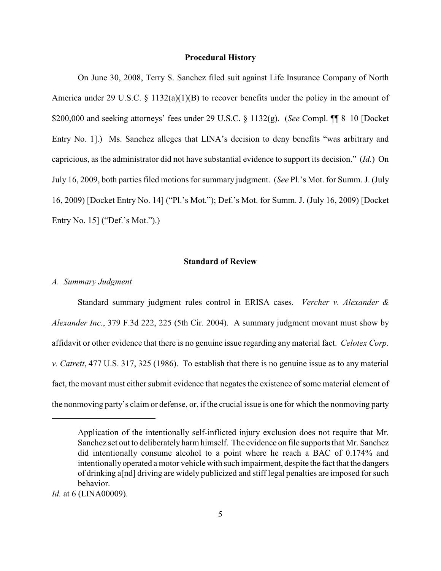#### **Procedural History**

On June 30, 2008, Terry S. Sanchez filed suit against Life Insurance Company of North America under 29 U.S.C. § 1132(a)(1)(B) to recover benefits under the policy in the amount of \$200,000 and seeking attorneys' fees under 29 U.S.C. § 1132(g). (*See* Compl. ¶¶ 8–10 [Docket Entry No. 1].) Ms. Sanchez alleges that LINA's decision to deny benefits "was arbitrary and capricious, as the administrator did not have substantial evidence to support its decision." (*Id.*) On July 16, 2009, both parties filed motions for summary judgment. (*See* Pl.'s Mot. for Summ. J. (July 16, 2009) [Docket Entry No. 14] ("Pl.'s Mot."); Def.'s Mot. for Summ. J. (July 16, 2009) [Docket Entry No. 15] ("Def.'s Mot.").)

## **Standard of Review**

#### *A. Summary Judgment*

Standard summary judgment rules control in ERISA cases. *Vercher v. Alexander & Alexander Inc.*, 379 F.3d 222, 225 (5th Cir. 2004). A summary judgment movant must show by affidavit or other evidence that there is no genuine issue regarding any material fact. *Celotex Corp. v. Catrett*, 477 U.S. 317, 325 (1986). To establish that there is no genuine issue as to any material fact, the movant must either submit evidence that negates the existence of some material element of the nonmoving party's claim or defense, or, if the crucial issue is one for which the nonmoving party

Application of the intentionally self-inflicted injury exclusion does not require that Mr. Sanchez set out to deliberately harm himself. The evidence on file supports that Mr. Sanchez did intentionally consume alcohol to a point where he reach a BAC of 0.174% and intentionally operated a motor vehicle with such impairment, despite the fact that the dangers of drinking a[nd] driving are widely publicized and stiff legal penalties are imposed for such behavior.

*Id.* at 6 (LINA00009).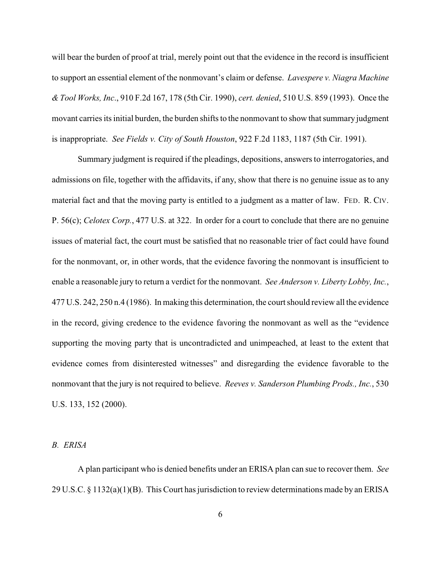will bear the burden of proof at trial, merely point out that the evidence in the record is insufficient to support an essential element of the nonmovant's claim or defense. *Lavespere v. Niagra Machine & Tool Works, Inc*., 910 F.2d 167, 178 (5th Cir. 1990), *cert. denied*, 510 U.S. 859 (1993). Once the movant carries its initial burden, the burden shifts to the nonmovant to show that summary judgment is inappropriate. *See Fields v. City of South Houston*, 922 F.2d 1183, 1187 (5th Cir. 1991).

Summary judgment is required if the pleadings, depositions, answers to interrogatories, and admissions on file, together with the affidavits, if any, show that there is no genuine issue as to any material fact and that the moving party is entitled to a judgment as a matter of law. FED. R. CIV. P. 56(c); *Celotex Corp.*, 477 U.S. at 322. In order for a court to conclude that there are no genuine issues of material fact, the court must be satisfied that no reasonable trier of fact could have found for the nonmovant, or, in other words, that the evidence favoring the nonmovant is insufficient to enable a reasonable jury to return a verdict for the nonmovant. *See Anderson v. Liberty Lobby, Inc.*, 477 U.S. 242, 250 n.4 (1986). In making this determination, the court should review all the evidence in the record, giving credence to the evidence favoring the nonmovant as well as the "evidence supporting the moving party that is uncontradicted and unimpeached, at least to the extent that evidence comes from disinterested witnesses" and disregarding the evidence favorable to the nonmovant that the jury is not required to believe. *Reeves v. Sanderson Plumbing Prods., Inc.*, 530 U.S. 133, 152 (2000).

*B. ERISA*

A plan participant who is denied benefits under an ERISA plan can sue to recover them. *See* 29 U.S.C. § 1132(a)(1)(B). This Court has jurisdiction to review determinations made by an ERISA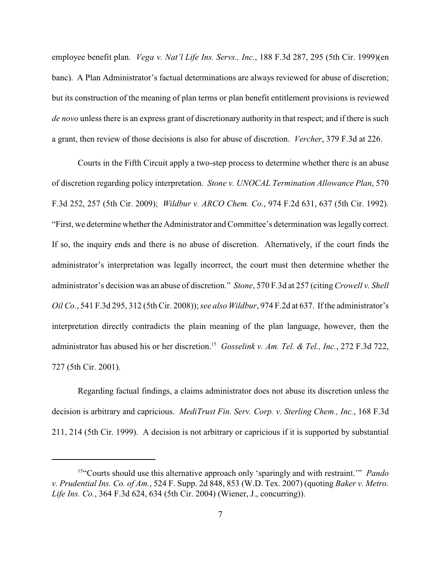employee benefit plan. *Vega v. Nat'l Life Ins. Servs., Inc.*, 188 F.3d 287, 295 (5th Cir. 1999)(en banc). A Plan Administrator's factual determinations are always reviewed for abuse of discretion; but its construction of the meaning of plan terms or plan benefit entitlement provisions is reviewed *de novo* unless there is an express grant of discretionary authority in that respect; and if there is such a grant, then review of those decisions is also for abuse of discretion. *Vercher*, 379 F.3d at 226.

Courts in the Fifth Circuit apply a two-step process to determine whether there is an abuse of discretion regarding policy interpretation. *Stone v. UNOCAL Termination Allowance Plan*, 570 F.3d 252, 257 (5th Cir. 2009); *Wildbur v. ARCO Chem. Co.*, 974 F.2d 631, 637 (5th Cir. 1992). "First, we determine whether the Administrator andCommittee's determination was legally correct. If so, the inquiry ends and there is no abuse of discretion. Alternatively, if the court finds the administrator's interpretation was legally incorrect, the court must then determine whether the administrator's decision was an abuse of discretion." *Stone*, 570 F.3d at 257 (citing *Crowell v. Shell Oil Co.*, 541 F.3d 295, 312 (5th Cir. 2008));*see also Wildbur*, 974 F.2d at 637. If the administrator's interpretation directly contradicts the plain meaning of the plan language, however, then the administrator has abused his or her discretion.<sup>15</sup> Gosselink v. Am. Tel. & Tel., Inc., 272 F.3d 722, 727 (5th Cir. 2001).

Regarding factual findings, a claims administrator does not abuse its discretion unless the decision is arbitrary and capricious. *MediTrust Fin. Serv. Corp. v. Sterling Chem., Inc.*, 168 F.3d 211, 214 (5th Cir. 1999). A decision is not arbitrary or capricious if it is supported by substantial

<sup>&</sup>lt;sup>15"</sup>Courts should use this alternative approach only 'sparingly and with restraint." *Pando v. Prudential Ins. Co. of Am.*, 524 F. Supp. 2d 848, 853 (W.D. Tex. 2007) (quoting *Baker v. Metro. Life Ins. Co.*, 364 F.3d 624, 634 (5th Cir. 2004) (Wiener, J., concurring)).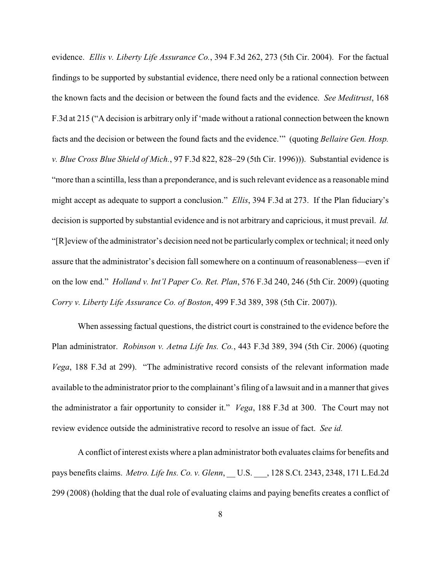evidence. *Ellis v. Liberty Life Assurance Co.*, 394 F.3d 262, 273 (5th Cir. 2004). For the factual findings to be supported by substantial evidence, there need only be a rational connection between the known facts and the decision or between the found facts and the evidence. *See Meditrust*, 168 F.3d at 215 ("A decision is arbitrary only if 'made without a rational connection between the known facts and the decision or between the found facts and the evidence.'" (quoting *Bellaire Gen. Hosp. v. Blue Cross Blue Shield of Mich.*, 97 F.3d 822, 828–29 (5th Cir. 1996))). Substantial evidence is "more than a scintilla, less than a preponderance, and is such relevant evidence as a reasonable mind might accept as adequate to support a conclusion." *Ellis*, 394 F.3d at 273. If the Plan fiduciary's decision is supported by substantial evidence and is not arbitrary and capricious, it must prevail. *Id.* "[R]eview of the administrator's decision need not be particularly complex or technical; it need only assure that the administrator's decision fall somewhere on a continuum of reasonableness—even if on the low end." *Holland v. Int'l Paper Co. Ret. Plan*, 576 F.3d 240, 246 (5th Cir. 2009) (quoting *Corry v. Liberty Life Assurance Co. of Boston*, 499 F.3d 389, 398 (5th Cir. 2007)).

When assessing factual questions, the district court is constrained to the evidence before the Plan administrator. *Robinson v. Aetna Life Ins. Co.*, 443 F.3d 389, 394 (5th Cir. 2006) (quoting *Vega*, 188 F.3d at 299). "The administrative record consists of the relevant information made available to the administrator prior to the complainant's filing of a lawsuit and in a manner that gives the administrator a fair opportunity to consider it." *Vega*, 188 F.3d at 300. The Court may not review evidence outside the administrative record to resolve an issue of fact. *See id.*

A conflict of interest exists where a plan administrator both evaluates claims for benefits and pays benefits claims. *Metro. Life Ins. Co. v. Glenn*, \_\_ U.S. \_\_\_, 128 S.Ct. 2343, 2348, 171 L.Ed.2d 299 (2008) (holding that the dual role of evaluating claims and paying benefits creates a conflict of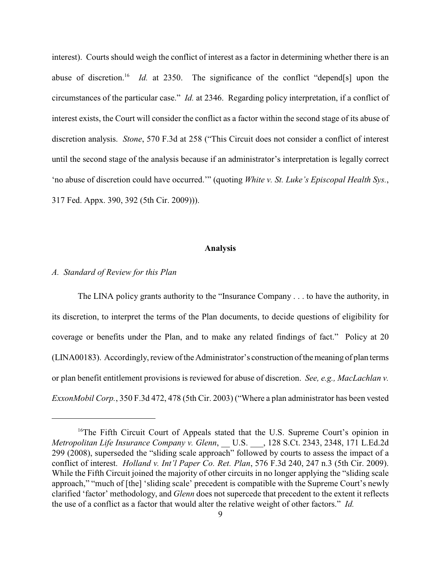interest). Courts should weigh the conflict of interest as a factor in determining whether there is an abuse of discretion.<sup>16</sup> *Id.* at 2350. The significance of the conflict "depend[s] upon the circumstances of the particular case." *Id.* at 2346. Regarding policy interpretation, if a conflict of interest exists, the Court will consider the conflict as a factor within the second stage of its abuse of discretion analysis. *Stone*, 570 F.3d at 258 ("This Circuit does not consider a conflict of interest until the second stage of the analysis because if an administrator's interpretation is legally correct 'no abuse of discretion could have occurred.'" (quoting *White v. St. Luke's Episcopal Health Sys.*, 317 Fed. Appx. 390, 392 (5th Cir. 2009))).

#### **Analysis**

#### *A. Standard of Review for this Plan*

The LINA policy grants authority to the "Insurance Company . . . to have the authority, in its discretion, to interpret the terms of the Plan documents, to decide questions of eligibility for coverage or benefits under the Plan, and to make any related findings of fact." Policy at 20 (LINA00183). Accordingly, review of the Administrator's construction of the meaning of plan terms or plan benefit entitlement provisions is reviewed for abuse of discretion. *See, e.g., MacLachlan v. ExxonMobil Corp.*, 350 F.3d 472, 478 (5th Cir. 2003) ("Where a plan administrator has been vested

<sup>&</sup>lt;sup>16</sup>The Fifth Circuit Court of Appeals stated that the U.S. Supreme Court's opinion in *Metropolitan Life Insurance Company v. Glenn*, \_\_ U.S. \_\_\_, 128 S.Ct. 2343, 2348, 171 L.Ed.2d 299 (2008), superseded the "sliding scale approach" followed by courts to assess the impact of a conflict of interest. *Holland v. Int'l Paper Co. Ret. Plan*, 576 F.3d 240, 247 n.3 (5th Cir. 2009). While the Fifth Circuit joined the majority of other circuits in no longer applying the "sliding scale approach," "much of [the] 'sliding scale' precedent is compatible with the Supreme Court's newly clarified 'factor' methodology, and *Glenn* does not supercede that precedent to the extent it reflects the use of a conflict as a factor that would alter the relative weight of other factors." *Id.*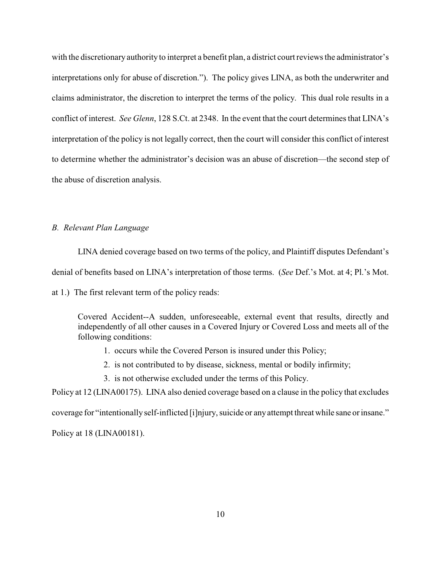with the discretionary authority to interpret a benefit plan, a district court reviews the administrator's interpretations only for abuse of discretion."). The policy gives LINA, as both the underwriter and claims administrator, the discretion to interpret the terms of the policy. This dual role results in a conflict of interest. *See Glenn*, 128 S.Ct. at 2348. In the event that the court determines that LINA's interpretation of the policy is not legally correct, then the court will consider this conflict of interest to determine whether the administrator's decision was an abuse of discretion—the second step of the abuse of discretion analysis.

## *B. Relevant Plan Language*

LINA denied coverage based on two terms of the policy, and Plaintiff disputes Defendant's denial of benefits based on LINA's interpretation of those terms. (*See* Def.'s Mot. at 4; Pl.'s Mot. at 1.) The first relevant term of the policy reads:

Covered Accident--A sudden, unforeseeable, external event that results, directly and independently of all other causes in a Covered Injury or Covered Loss and meets all of the following conditions:

- 1. occurs while the Covered Person is insured under this Policy;
- 2. is not contributed to by disease, sickness, mental or bodily infirmity;
- 3. is not otherwise excluded under the terms of this Policy.

Policy at 12 (LINA00175). LINA also denied coverage based on a clause in the policy that excludes coverage for "intentionally self-inflicted [i]njury, suicide or any attempt threat while sane or insane." Policy at 18 (LINA00181).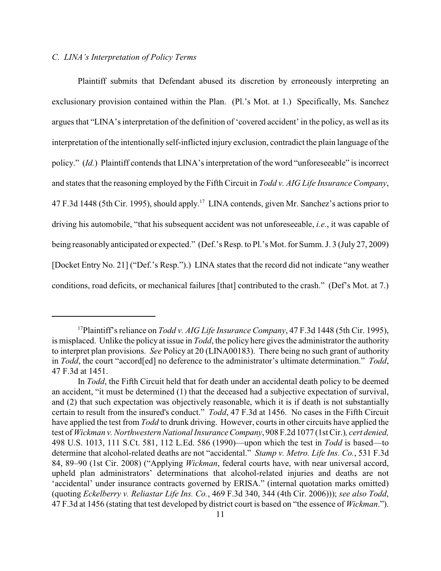### *C. LINA's Interpretation of Policy Terms*

Plaintiff submits that Defendant abused its discretion by erroneously interpreting an exclusionary provision contained within the Plan. (Pl.'s Mot. at 1.) Specifically, Ms. Sanchez argues that "LINA's interpretation of the definition of 'covered accident' in the policy, as well as its interpretation of the intentionally self-inflicted injury exclusion, contradict the plain language of the policy." (*Id.*) Plaintiff contends that LINA's interpretation of the word "unforeseeable" is incorrect and states that the reasoning employed by the Fifth Circuit in *Todd v. AIG Life Insurance Company*, 47 F.3d 1448 (5th Cir. 1995), should apply.<sup>17</sup> LINA contends, given Mr. Sanchez's actions prior to driving his automobile, "that his subsequent accident was not unforeseeable, *i.e.*, it was capable of being reasonably anticipated or expected." (Def.'s Resp. to Pl.'s Mot. for Summ. J. 3 (July 27, 2009) [Docket Entry No. 21] ("Def.'s Resp.").) LINA states that the record did not indicate "any weather conditions, road deficits, or mechanical failures [that] contributed to the crash." (Def's Mot. at 7.)

<sup>&</sup>lt;sup>17</sup>Plaintiff's reliance on *Todd v. AIG Life Insurance Company*, 47 F.3d 1448 (5th Cir. 1995), is misplaced. Unlike the policy at issue in *Todd*, the policy here gives the administrator the authority to interpret plan provisions. *See* Policy at 20 (LINA00183). There being no such grant of authority in *Todd*, the court "accord[ed] no deference to the administrator's ultimate determination." *Todd*, 47 F.3d at 1451.

In *Todd*, the Fifth Circuit held that for death under an accidental death policy to be deemed an accident, "it must be determined (1) that the deceased had a subjective expectation of survival, and (2) that such expectation was objectively reasonable, which it is if death is not substantially certain to result from the insured's conduct." *Todd*, 47 F.3d at 1456. No cases in the Fifth Circuit have applied the test from *Todd* to drunk driving. However, courts in other circuits have applied the test of *Wickman v. Northwestern National Insurance Company*, 908 F.2d 1077 (1st Cir.)*, cert denied,* 498 U.S. 1013, 111 S.Ct. 581, 112 L.Ed. 586 (1990)—upon which the test in *Todd* is based—to determine that alcohol-related deaths are not "accidental." *Stamp v. Metro. Life Ins. Co.*, 531 F.3d 84, 89–90 (1st Cir. 2008) ("Applying *Wickman*, federal courts have, with near universal accord, upheld plan administrators' determinations that alcohol-related injuries and deaths are not 'accidental' under insurance contracts governed by ERISA." (internal quotation marks omitted) (quoting *Eckelberry v. Reliastar Life Ins. Co.*, 469 F.3d 340, 344 (4th Cir. 2006))); *see also Todd*, 47 F.3d at 1456 (stating that test developed by district court is based on "the essence of *Wickman*.").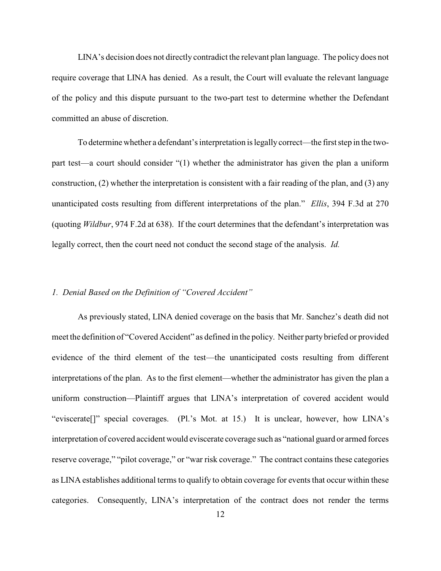LINA's decision does not directly contradict the relevant plan language. The policy does not require coverage that LINA has denied. As a result, the Court will evaluate the relevant language of the policy and this dispute pursuant to the two-part test to determine whether the Defendant committed an abuse of discretion.

To determine whether a defendant's interpretation is legally correct—the first step in the twopart test—a court should consider "(1) whether the administrator has given the plan a uniform construction, (2) whether the interpretation is consistent with a fair reading of the plan, and (3) any unanticipated costs resulting from different interpretations of the plan." *Ellis*, 394 F.3d at 270 (quoting *Wildbur*, 974 F.2d at 638). If the court determines that the defendant's interpretation was legally correct, then the court need not conduct the second stage of the analysis. *Id.*

## *1. Denial Based on the Definition of "Covered Accident"*

As previously stated, LINA denied coverage on the basis that Mr. Sanchez's death did not meet the definition of "Covered Accident" as defined in the policy. Neither party briefed or provided evidence of the third element of the test—the unanticipated costs resulting from different interpretations of the plan. As to the first element—whether the administrator has given the plan a uniform construction—Plaintiff argues that LINA's interpretation of covered accident would "eviscerate[]" special coverages. (Pl.'s Mot. at 15.) It is unclear, however, how LINA's interpretation of covered accident would eviscerate coverage such as "national guard or armed forces reserve coverage," "pilot coverage," or "war risk coverage." The contract contains these categories as LINA establishes additional terms to qualify to obtain coverage for events that occur within these categories. Consequently, LINA's interpretation of the contract does not render the terms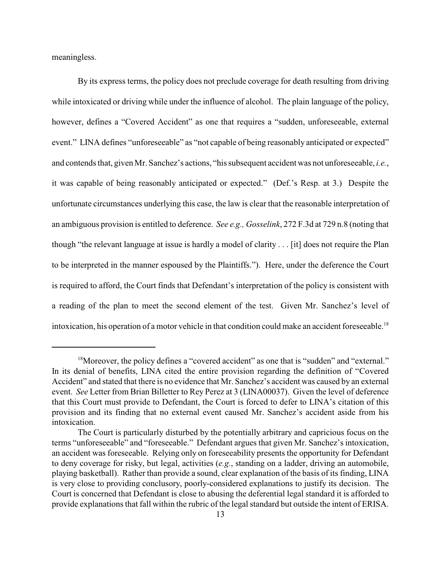meaningless.

By its express terms, the policy does not preclude coverage for death resulting from driving while intoxicated or driving while under the influence of alcohol. The plain language of the policy, however, defines a "Covered Accident" as one that requires a "sudden, unforeseeable, external event." LINA defines "unforeseeable" as "not capable of being reasonably anticipated or expected" and contends that, given Mr. Sanchez's actions, "his subsequent accident was not unforeseeable, *i.e.*, it was capable of being reasonably anticipated or expected." (Def.'s Resp. at 3.) Despite the unfortunate circumstances underlying this case, the law is clear that the reasonable interpretation of an ambiguous provision is entitled to deference. *See e.g., Gosselink*, 272 F.3d at 729 n.8 (noting that though "the relevant language at issue is hardly a model of clarity . . . [it] does not require the Plan to be interpreted in the manner espoused by the Plaintiffs."). Here, under the deference the Court is required to afford, the Court finds that Defendant's interpretation of the policy is consistent with a reading of the plan to meet the second element of the test. Given Mr. Sanchez's level of intoxication, his operation of a motor vehicle in that condition could make an accident foreseeable. 18

<sup>&</sup>lt;sup>18</sup>Moreover, the policy defines a "covered accident" as one that is "sudden" and "external." In its denial of benefits, LINA cited the entire provision regarding the definition of "Covered Accident" and stated that there is no evidence that Mr. Sanchez's accident was caused by an external event. *See* Letter from Brian Billetter to Rey Perez at 3 (LINA00037). Given the level of deference that this Court must provide to Defendant, the Court is forced to defer to LINA's citation of this provision and its finding that no external event caused Mr. Sanchez's accident aside from his intoxication.

The Court is particularly disturbed by the potentially arbitrary and capricious focus on the terms "unforeseeable" and "foreseeable." Defendant argues that given Mr. Sanchez's intoxication, an accident was foreseeable. Relying only on foreseeability presents the opportunity for Defendant to deny coverage for risky, but legal, activities (*e.g.*, standing on a ladder, driving an automobile, playing basketball). Rather than provide a sound, clear explanation of the basis of its finding, LINA is very close to providing conclusory, poorly-considered explanations to justify its decision. The Court is concerned that Defendant is close to abusing the deferential legal standard it is afforded to provide explanations that fall within the rubric of the legal standard but outside the intent of ERISA.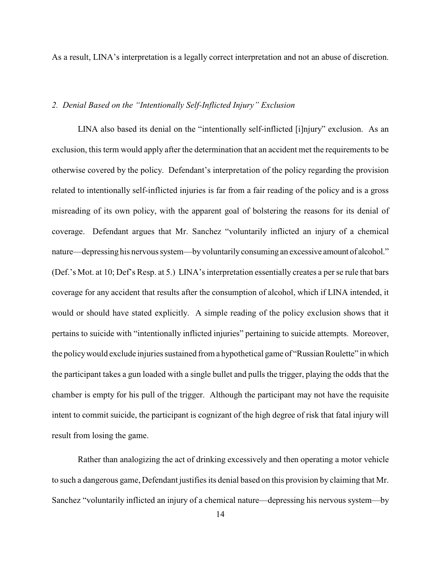As a result, LINA's interpretation is a legally correct interpretation and not an abuse of discretion.

### *2. Denial Based on the "Intentionally Self-Inflicted Injury" Exclusion*

LINA also based its denial on the "intentionally self-inflicted [i]njury" exclusion. As an exclusion, this term would apply after the determination that an accident met the requirements to be otherwise covered by the policy. Defendant's interpretation of the policy regarding the provision related to intentionally self-inflicted injuries is far from a fair reading of the policy and is a gross misreading of its own policy, with the apparent goal of bolstering the reasons for its denial of coverage. Defendant argues that Mr. Sanchez "voluntarily inflicted an injury of a chemical nature—depressing his nervous system—by voluntarily consuming an excessive amount of alcohol." (Def.'s Mot. at 10; Def's Resp. at 5.) LINA's interpretation essentially creates a per se rule that bars coverage for any accident that results after the consumption of alcohol, which if LINA intended, it would or should have stated explicitly. A simple reading of the policy exclusion shows that it pertains to suicide with "intentionally inflicted injuries" pertaining to suicide attempts. Moreover, the policy would exclude injuries sustained from a hypothetical game of "Russian Roulette" in which the participant takes a gun loaded with a single bullet and pulls the trigger, playing the odds that the chamber is empty for his pull of the trigger. Although the participant may not have the requisite intent to commit suicide, the participant is cognizant of the high degree of risk that fatal injury will result from losing the game.

Rather than analogizing the act of drinking excessively and then operating a motor vehicle to such a dangerous game, Defendant justifies its denial based on this provision by claiming that Mr. Sanchez "voluntarily inflicted an injury of a chemical nature—depressing his nervous system—by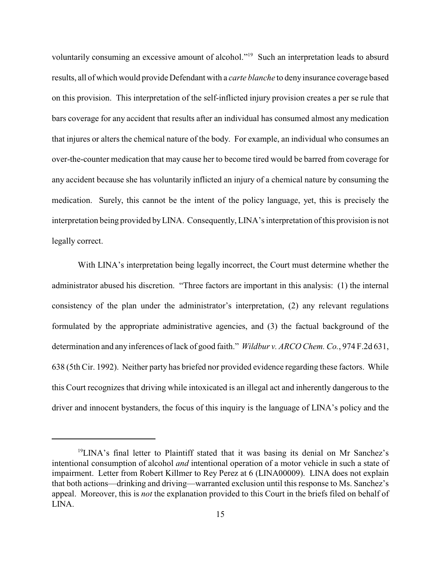voluntarily consuming an excessive amount of alcohol."<sup>19</sup> Such an interpretation leads to absurd results, all of which would provide Defendant with a *carte blanche* to deny insurance coverage based on this provision. This interpretation of the self-inflicted injury provision creates a per se rule that bars coverage for any accident that results after an individual has consumed almost any medication that injures or alters the chemical nature of the body. For example, an individual who consumes an over-the-counter medication that may cause her to become tired would be barred from coverage for any accident because she has voluntarily inflicted an injury of a chemical nature by consuming the medication. Surely, this cannot be the intent of the policy language, yet, this is precisely the interpretation being provided by LINA. Consequently, LINA's interpretation of this provision is not legally correct.

With LINA's interpretation being legally incorrect, the Court must determine whether the administrator abused his discretion. "Three factors are important in this analysis: (1) the internal consistency of the plan under the administrator's interpretation, (2) any relevant regulations formulated by the appropriate administrative agencies, and (3) the factual background of the determination and any inferences of lack of good faith." *Wildbur v. ARCO Chem. Co.*, 974 F.2d 631, 638 (5th Cir. 1992). Neither party has briefed nor provided evidence regarding these factors. While this Court recognizes that driving while intoxicated is an illegal act and inherently dangerous to the driver and innocent bystanders, the focus of this inquiry is the language of LINA's policy and the

 $^{19}$ LINA's final letter to Plaintiff stated that it was basing its denial on Mr Sanchez's intentional consumption of alcohol *and* intentional operation of a motor vehicle in such a state of impairment. Letter from Robert Killmer to Rey Perez at 6 (LINA00009). LINA does not explain that both actions—drinking and driving—warranted exclusion until this response to Ms. Sanchez's appeal. Moreover, this is *not* the explanation provided to this Court in the briefs filed on behalf of LINA.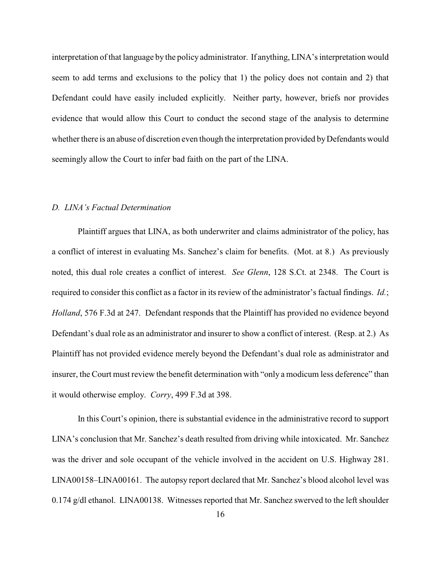interpretation of that language by the policy administrator. If anything, LINA's interpretation would seem to add terms and exclusions to the policy that 1) the policy does not contain and 2) that Defendant could have easily included explicitly. Neither party, however, briefs nor provides evidence that would allow this Court to conduct the second stage of the analysis to determine whether there is an abuse of discretion even though the interpretation provided by Defendants would seemingly allow the Court to infer bad faith on the part of the LINA.

#### *D. LINA's Factual Determination*

Plaintiff argues that LINA, as both underwriter and claims administrator of the policy, has a conflict of interest in evaluating Ms. Sanchez's claim for benefits. (Mot. at 8.) As previously noted, this dual role creates a conflict of interest. *See Glenn*, 128 S.Ct. at 2348. The Court is required to consider this conflict as a factor in its review of the administrator's factual findings. *Id.*; *Holland*, 576 F.3d at 247. Defendant responds that the Plaintiff has provided no evidence beyond Defendant's dual role as an administrator and insurer to show a conflict of interest. (Resp. at 2.) As Plaintiff has not provided evidence merely beyond the Defendant's dual role as administrator and insurer, the Court must review the benefit determination with "only a modicum less deference" than it would otherwise employ. *Corry*, 499 F.3d at 398.

In this Court's opinion, there is substantial evidence in the administrative record to support LINA's conclusion that Mr. Sanchez's death resulted from driving while intoxicated. Mr. Sanchez was the driver and sole occupant of the vehicle involved in the accident on U.S. Highway 281. LINA00158–LINA00161. The autopsy report declared that Mr. Sanchez's blood alcohol level was 0.174 g/dl ethanol. LINA00138. Witnesses reported that Mr. Sanchez swerved to the left shoulder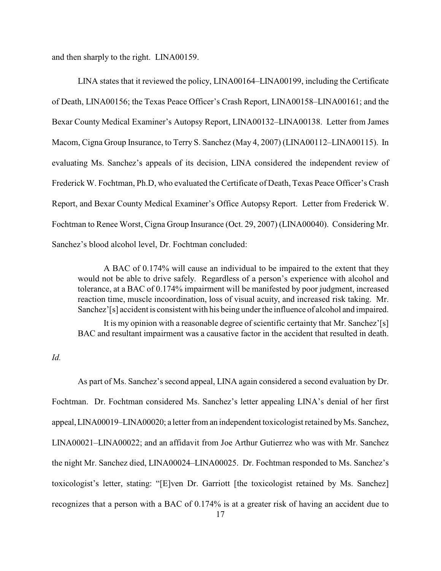and then sharply to the right. LINA00159.

LINA states that it reviewed the policy, LINA00164–LINA00199, including the Certificate of Death, LINA00156; the Texas Peace Officer's Crash Report, LINA00158–LINA00161; and the Bexar County Medical Examiner's Autopsy Report, LINA00132–LINA00138. Letter from James Macom, Cigna Group Insurance, to Terry S. Sanchez (May 4, 2007) (LINA00112–LINA00115). In evaluating Ms. Sanchez's appeals of its decision, LINA considered the independent review of Frederick W. Fochtman, Ph.D, who evaluated the Certificate of Death, Texas Peace Officer's Crash Report, and Bexar County Medical Examiner's Office Autopsy Report. Letter from Frederick W. Fochtman to Renee Worst, Cigna Group Insurance (Oct. 29, 2007) (LINA00040). Considering Mr. Sanchez's blood alcohol level, Dr. Fochtman concluded:

A BAC of 0.174% will cause an individual to be impaired to the extent that they would not be able to drive safely. Regardless of a person's experience with alcohol and tolerance, at a BAC of 0.174% impairment will be manifested by poor judgment, increased reaction time, muscle incoordination, loss of visual acuity, and increased risk taking. Mr. Sanchez'[s] accident is consistent with his being under the influence of alcohol and impaired.

It is my opinion with a reasonable degree of scientific certainty that Mr. Sanchez'[s] BAC and resultant impairment was a causative factor in the accident that resulted in death.

*Id.*

As part of Ms. Sanchez's second appeal, LINA again considered a second evaluation by Dr. Fochtman. Dr. Fochtman considered Ms. Sanchez's letter appealing LINA's denial of her first appeal, LINA00019–LINA00020; a letter from an independent toxicologist retained by Ms. Sanchez, LINA00021–LINA00022; and an affidavit from Joe Arthur Gutierrez who was with Mr. Sanchez the night Mr. Sanchez died, LINA00024–LINA00025. Dr. Fochtman responded to Ms. Sanchez's toxicologist's letter, stating: "[E]ven Dr. Garriott [the toxicologist retained by Ms. Sanchez] recognizes that a person with a BAC of 0.174% is at a greater risk of having an accident due to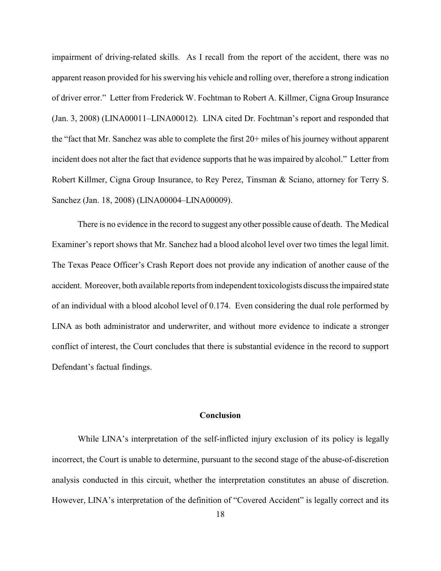impairment of driving-related skills. As I recall from the report of the accident, there was no apparent reason provided for his swerving his vehicle and rolling over, therefore a strong indication of driver error." Letter from Frederick W. Fochtman to Robert A. Killmer, Cigna Group Insurance (Jan. 3, 2008) (LINA00011–LINA00012). LINA cited Dr. Fochtman's report and responded that the "fact that Mr. Sanchez was able to complete the first 20+ miles of his journey without apparent incident does not alter the fact that evidence supports that he was impaired by alcohol." Letter from Robert Killmer, Cigna Group Insurance, to Rey Perez, Tinsman & Sciano, attorney for Terry S. Sanchez (Jan. 18, 2008) (LINA00004–LINA00009).

There is no evidence in the record to suggest any other possible cause of death. The Medical Examiner's report shows that Mr. Sanchez had a blood alcohol level over two times the legal limit. The Texas Peace Officer's Crash Report does not provide any indication of another cause of the accident. Moreover, both available reports from independent toxicologists discuss the impaired state of an individual with a blood alcohol level of 0.174. Even considering the dual role performed by LINA as both administrator and underwriter, and without more evidence to indicate a stronger conflict of interest, the Court concludes that there is substantial evidence in the record to support Defendant's factual findings.

#### **Conclusion**

While LINA's interpretation of the self-inflicted injury exclusion of its policy is legally incorrect, the Court is unable to determine, pursuant to the second stage of the abuse-of-discretion analysis conducted in this circuit, whether the interpretation constitutes an abuse of discretion. However, LINA's interpretation of the definition of "Covered Accident" is legally correct and its